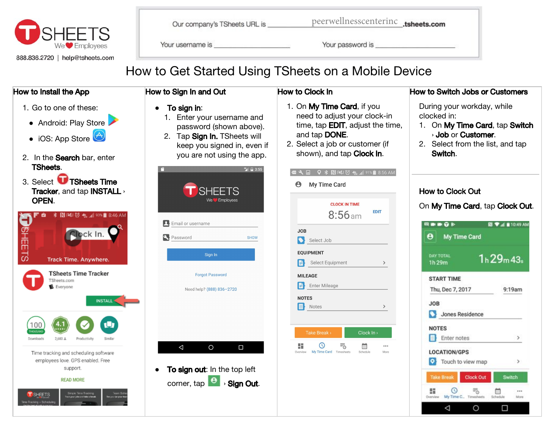

| Our company's TSheets URL is | peerwellnesscen |
|------------------------------|-----------------|
|------------------------------|-----------------|

llnesscenterinc .tsheets.com

Your username is a control of the control of the control of the control of the control of the control of the control of the control of the control of the control of the control of the control of the control of the control

Your password is service and the service of the service of the service of the service of the service of the service of the service of the service of the service of the service of the service of the service of the service o

# How to Get Started Using TSheets on a Mobile Device